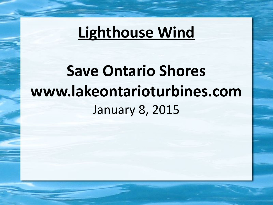# **Save Ontario Shores [www.lakeontarioturbines.com](http://www.lakeontarioturbines.com/)** January 8, 2015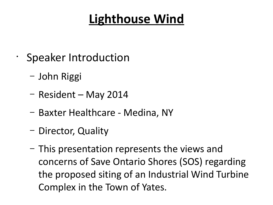- Speaker Introduction
	- John Riggi
	- Resident May 2014
	- Baxter Healthcare Medina, NY
	- Director, Quality
	- This presentation represents the views and concerns of Save Ontario Shores (SOS) regarding the proposed siting of an Industrial Wind Turbine Complex in the Town of Yates.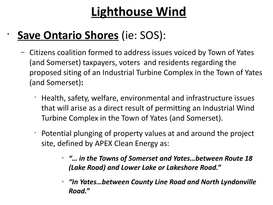### • **Save Ontario Shores** (ie: SOS):

- Citizens coalition formed to address issues voiced by Town of Yates (and Somerset) taxpayers, voters and residents regarding the proposed siting of an Industrial Turbine Complex in the Town of Yates (and Somerset)**:**
	- Health, safety, welfare, environmental and infrastructure issues that will arise as a direct result of permitting an Industrial Wind Turbine Complex in the Town of Yates (and Somerset).
	- Potential plunging of property values at and around the project site, defined by APEX Clean Energy as:
		- » *"… in the Towns of Somerset and Yates…between Route 18 (Lake Road) and Lower Lake or Lakeshore Road."*
		- » *"In Yates…between County Line Road and North Lyndonville Road."*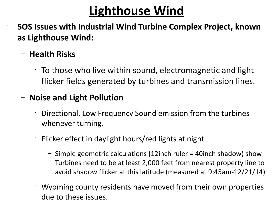• **SOS Issues with Industrial Wind Turbine Complex Project, known as Lighthouse Wind:**

#### – **Health Risks**

 $\cdot$  To those who live within sound, electromagnetic and light flicker fields generated by turbines and transmission lines.

#### – **Noise and Light Pollution**

- Directional, Low Frequency Sound emission from the turbines whenever turning.
- $\cdot$  Flicker effect in daylight hours/red lights at night
	- Simple geometric calculations (12inch ruler = 40inch shadow) show Turbines need to be at least 2,000 feet from nearest property line to avoid shadow flicker at this latitude (measured at 9:45am-12/21/14)
- Wyoming county residents have moved from their own properties due to these issues.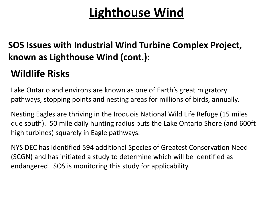#### **SOS Issues with Industrial Wind Turbine Complex Project, known as Lighthouse Wind (cont.):**

#### **Wildlife Risks**

Lake Ontario and environs are known as one of Earth's great migratory pathways, stopping points and nesting areas for millions of birds, annually.

Nesting Eagles are thriving in the Iroquois National Wild Life Refuge (15 miles due south). 50 mile daily hunting radius puts the Lake Ontario Shore (and 600ft high turbines) squarely in Eagle pathways.

NYS DEC has identified 594 additional Species of Greatest Conservation Need (SCGN) and has initiated a study to determine which will be identified as endangered. SOS is monitoring this study for applicability.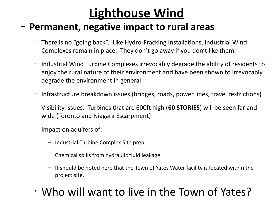#### – **Permanent, negative impact to rural areas**

- There is no "going back". Like Hydro-Fracking Installations, Industrial Wind Complexes remain in place. They don't go away if you don't like them.
- Industrial Wind Turbine Complexes irrevocably degrade the ability of residents to enjoy the rural nature of their environment and have been shown to irrevocably degrade the environment in general
- Infrastructure breakdown issues (bridges, roads, power lines, travel restrictions)
- Visibility issues. Turbines that are 600ft high (**60 STORIES**) will be seen far and wide (Toronto and Niagara Escarpment)
- Impact on aquifers of:
	- Industrial Turbine Complex Site prep
	- Chemical spills from hydraulic fluid leakage
	- It should be noted here that the Town of Yates Water facility is located within the project site.
- Who will want to live in the Town of Yates?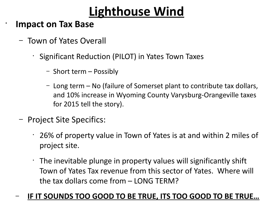#### **Impact on Tax Base**

•

- Town of Yates Overall
	- Significant Reduction (PILOT) in Yates Town Taxes
		- Short term Possibly
		- Long term No (failure of Somerset plant to contribute tax dollars, and 10% increase in Wyoming County Varysburg-Orangeville taxes for 2015 tell the story).
- Project Site Specifics:
	- 26% of property value in Town of Yates is at and within 2 miles of project site.
	- The inevitable plunge in property values will significantly shift Town of Yates Tax revenue from this sector of Yates. Where will the tax dollars come from – LONG TERM?

#### – **IF IT SOUNDS TOO GOOD TO BE TRUE, ITS TOO GOOD TO BE TRUE…**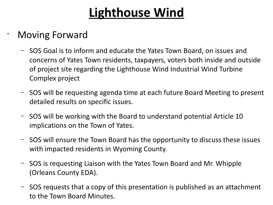#### • Moving Forward

- SOS Goal is to inform and educate the Yates Town Board, on issues and concerns of Yates Town residents, taxpayers, voters both inside and outside of project site regarding the Lighthouse Wind Industrial Wind Turbine Complex project
- SOS will be requesting agenda time at each future Board Meeting to present detailed results on specific issues.
- SOS will be working with the Board to understand potential Article 10 implications on the Town of Yates.
- SOS will ensure the Town Board has the opportunity to discuss these issues with impacted residents in Wyoming County.
- SOS is requesting Liaison with the Yates Town Board and Mr. Whipple (Orleans County EDA).
- SOS requests that a copy of this presentation is published as an attachment to the Town Board Minutes.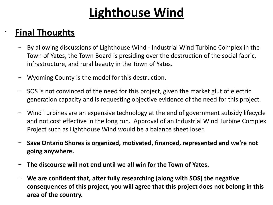#### • **Final Thoughts**

- By allowing discussions of Lighthouse Wind Industrial Wind Turbine Complex in the Town of Yates, the Town Board is presiding over the destruction of the social fabric, infrastructure, and rural beauty in the Town of Yates.
- Wyoming County is the model for this destruction.
- SOS is not convinced of the need for this project, given the market glut of electric generation capacity and is requesting objective evidence of the need for this project.
- Wind Turbines are an expensive technology at the end of government subsidy lifecycle and not cost effective in the long run. Approval of an Industrial Wind Turbine Complex Project such as Lighthouse Wind would be a balance sheet loser.
- **Save Ontario Shores is organized, motivated, financed, represented and we're not going anywhere.**
- **The discourse will not end until we all win for the Town of Yates.**
- **We are confident that, after fully researching (along with SOS) the negative consequences of this project, you will agree that this project does not belong in this area of the country.**